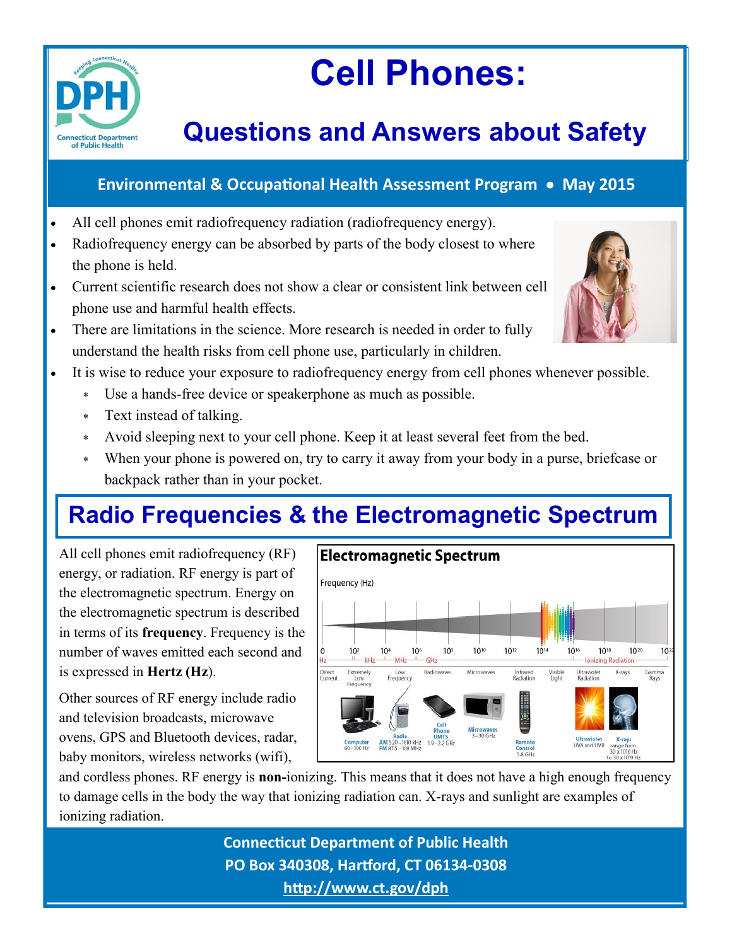

# **Cell Phones:**

# **Questions and Answers about Safety**

#### **Environmental & Occupational Health Assessment Program May 2015**

- All cell phones emit radiofrequency radiation (radiofrequency energy).
- Radiofrequency energy can be absorbed by parts of the body closest to where the phone is held.
- Current scientific research does not show a clear or consistent link between cell phone use and harmful health effects.
- There are limitations in the science. More research is needed in order to fully understand the health risks from cell phone use, particularly in children.
- It is wise to reduce your exposure to radiofrequency energy from cell phones whenever possible.
	- Use a hands-free device or speakerphone as much as possible.
	- Text instead of talking.
	- Avoid sleeping next to your cell phone. Keep it at least several feet from the bed.
	- When your phone is powered on, try to carry it away from your body in a purse, briefcase or backpack rather than in your pocket.

# **Radio Frequencies & the Electromagnetic Spectrum**

All cell phones emit radiofrequency (RF) energy, or radiation. RF energy is part of the electromagnetic spectrum. Energy on the electromagnetic spectrum is described in terms of its **frequency**. Frequency is the number of waves emitted each second and is expressed in **Hertz (Hz**).

Other sources of RF energy include radio and television broadcasts, microwave ovens, GPS and Bluetooth devices, radar, baby monitors, wireless networks (wifi),



and cordless phones. RF energy is **non-**ionizing. This means that it does not have a high enough frequency to damage cells in the body the way that ionizing radiation can. X-rays and sunlight are examples of ionizing radiation.

> **Connecticut Department of Public Health PO Box 340308, Hartford, CT 06134-0308 <http://www.ct.gov/dph>**

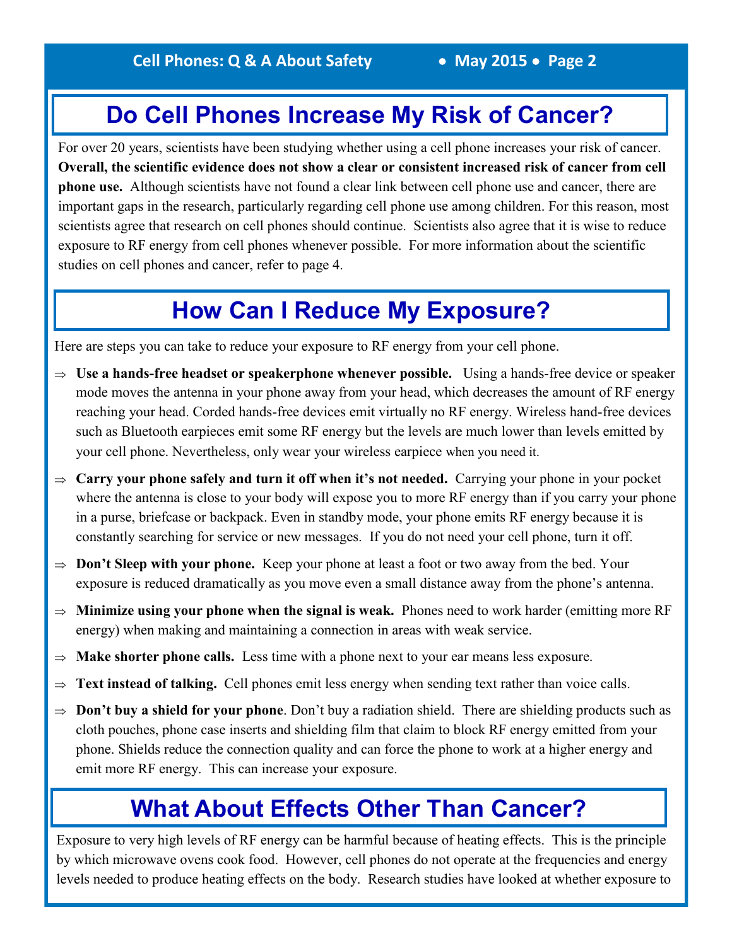### **Do Cell Phones Increase My Risk of Cancer?**

For over 20 years, scientists have been studying whether using a cell phone increases your risk of cancer. **Overall, the scientific evidence does not show a clear or consistent increased risk of cancer from cell phone use.** Although scientists have not found a clear link between cell phone use and cancer, there are important gaps in the research, particularly regarding cell phone use among children. For this reason, most scientists agree that research on cell phones should continue. Scientists also agree that it is wise to reduce exposure to RF energy from cell phones whenever possible. For more information about the scientific studies on cell phones and cancer, refer to page 4.

### **How Can I Reduce My Exposure?**

Here are steps you can take to reduce your exposure to RF energy from your cell phone.

- $\Rightarrow$  Use a hands-free headset or speakerphone whenever possible. Using a hands-free device or speaker mode moves the antenna in your phone away from your head, which decreases the amount of RF energy reaching your head. Corded hands-free devices emit virtually no RF energy. Wireless hand-free devices such as Bluetooth earpieces emit some RF energy but the levels are much lower than levels emitted by your cell phone. Nevertheless, only wear your wireless earpiece when you need it.
- $\Rightarrow$  **Carry your phone safely and turn it off when it's not needed.** Carrying your phone in your pocket where the antenna is close to your body will expose you to more RF energy than if you carry your phone in a purse, briefcase or backpack. Even in standby mode, your phone emits RF energy because it is constantly searching for service or new messages. If you do not need your cell phone, turn it off.
- $\Rightarrow$  **Don't Sleep with your phone.** Keep your phone at least a foot or two away from the bed. Your exposure is reduced dramatically as you move even a small distance away from the phone's antenna.
- $\Rightarrow$  **Minimize using your phone when the signal is weak.** Phones need to work harder (emitting more RF energy) when making and maintaining a connection in areas with weak service.
- **Make shorter phone calls.** Less time with a phone next to your ear means less exposure.
- **Text instead of talking.** Cell phones emit less energy when sending text rather than voice calls.
- $\Rightarrow$  **Don't buy a shield for your phone**. Don't buy a radiation shield. There are shielding products such as cloth pouches, phone case inserts and shielding film that claim to block RF energy emitted from your phone. Shields reduce the connection quality and can force the phone to work at a higher energy and emit more RF energy. This can increase your exposure.

### **What About Effects Other Than Cancer?**

Exposure to very high levels of RF energy can be harmful because of heating effects. This is the principle by which microwave ovens cook food. However, cell phones do not operate at the frequencies and energy levels needed to produce heating effects on the body. Research studies have looked at whether exposure to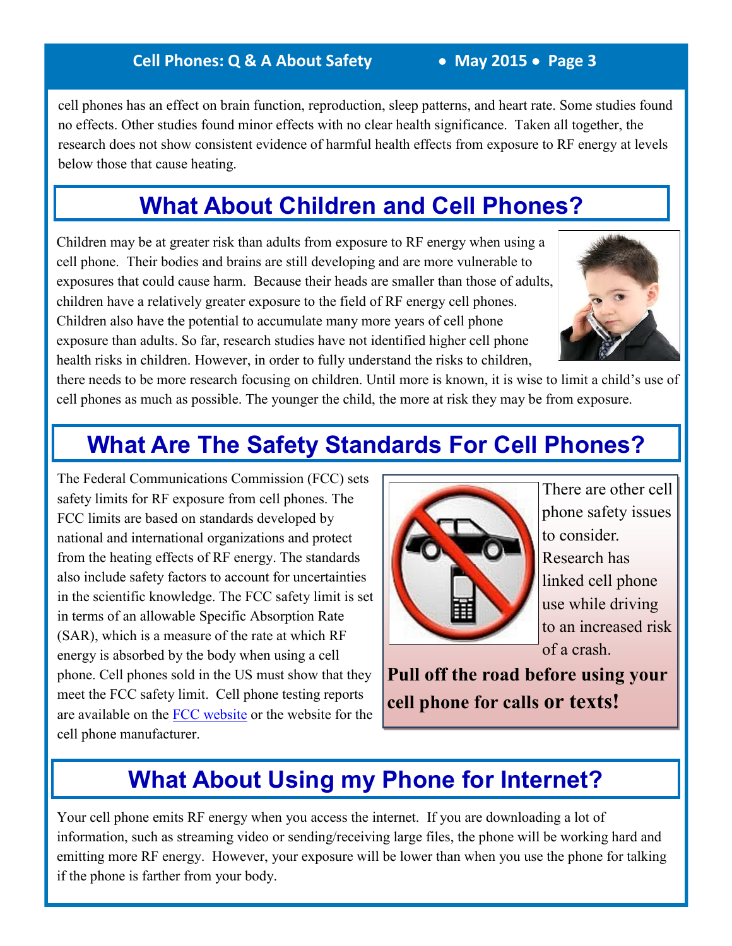#### **Cell Phones: Q & A About Safety • May 2015 • Page 3**

cell phones has an effect on brain function, reproduction, sleep patterns, and heart rate. Some studies found no effects. Other studies found minor effects with no clear health significance. Taken all together, the research does not show consistent evidence of harmful health effects from exposure to RF energy at levels below those that cause heating.

# **What About Children and Cell Phones?**

Children may be at greater risk than adults from exposure to RF energy when using a cell phone. Their bodies and brains are still developing and are more vulnerable to exposures that could cause harm. Because their heads are smaller than those of adults, children have a relatively greater exposure to the field of RF energy cell phones. Children also have the potential to accumulate many more years of cell phone exposure than adults. So far, research studies have not identified higher cell phone health risks in children. However, in order to fully understand the risks to children,



there needs to be more research focusing on children. Until more is known, it is wise to limit a child's use of cell phones as much as possible. The younger the child, the more at risk they may be from exposure.

# **What Are The Safety Standards For Cell Phones?**

The Federal Communications Commission (FCC) sets safety limits for RF exposure from cell phones. The FCC limits are based on standards developed by national and international organizations and protect from the heating effects of RF energy. The standards also include safety factors to account for uncertainties in the scientific knowledge. The FCC safety limit is set in terms of an allowable Specific Absorption Rate (SAR), which is a measure of the rate at which RF energy is absorbed by the body when using a cell phone. Cell phones sold in the US must show that they meet the FCC safety limit. Cell phone testing reports are available on the [FCC website](http://www.fcc.gov/encyclopedia/specific-absorption-rate-sar-cellular-telephones) or the website for the cell phone manufacturer.



There are other cell phone safety issues to consider. Research has linked cell phone use while driving to an increased risk of a crash.

**Pull off the road before using your cell phone for calls or texts!**

# **What About Using my Phone for Internet?**

Your cell phone emits RF energy when you access the internet. If you are downloading a lot of information, such as streaming video or sending/receiving large files, the phone will be working hard and emitting more RF energy. However, your exposure will be lower than when you use the phone for talking if the phone is farther from your body.